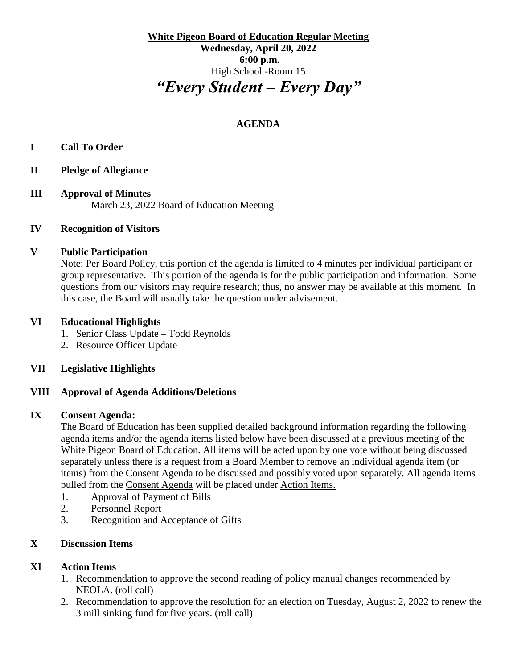**White Pigeon Board of Education Regular Meeting Wednesday, April 20, 2022 6:00 p.m.** High School -Room 15 *"Every Student – Every Day"*

# **AGENDA**

## **I Call To Order**

- **II Pledge of Allegiance**
- **III Approval of Minutes** March 23, 2022 Board of Education Meeting

### **IV Recognition of Visitors**

### **V Public Participation**

Note: Per Board Policy, this portion of the agenda is limited to 4 minutes per individual participant or group representative. This portion of the agenda is for the public participation and information. Some questions from our visitors may require research; thus, no answer may be available at this moment. In this case, the Board will usually take the question under advisement.

### **VI Educational Highlights**

- 1. Senior Class Update Todd Reynolds
- 2. Resource Officer Update

### **VII Legislative Highlights**

### **VIII Approval of Agenda Additions/Deletions**

#### **IX Consent Agenda:**

The Board of Education has been supplied detailed background information regarding the following agenda items and/or the agenda items listed below have been discussed at a previous meeting of the White Pigeon Board of Education. All items will be acted upon by one vote without being discussed separately unless there is a request from a Board Member to remove an individual agenda item (or items) from the Consent Agenda to be discussed and possibly voted upon separately. All agenda items pulled from the Consent Agenda will be placed under Action Items.

- 1. Approval of Payment of Bills
- 2. Personnel Report
- 3. Recognition and Acceptance of Gifts

### **X Discussion Items**

### **XI Action Items**

- 1. Recommendation to approve the second reading of policy manual changes recommended by NEOLA. (roll call)
- 2. Recommendation to approve the resolution for an election on Tuesday, August 2, 2022 to renew the 3 mill sinking fund for five years. (roll call)